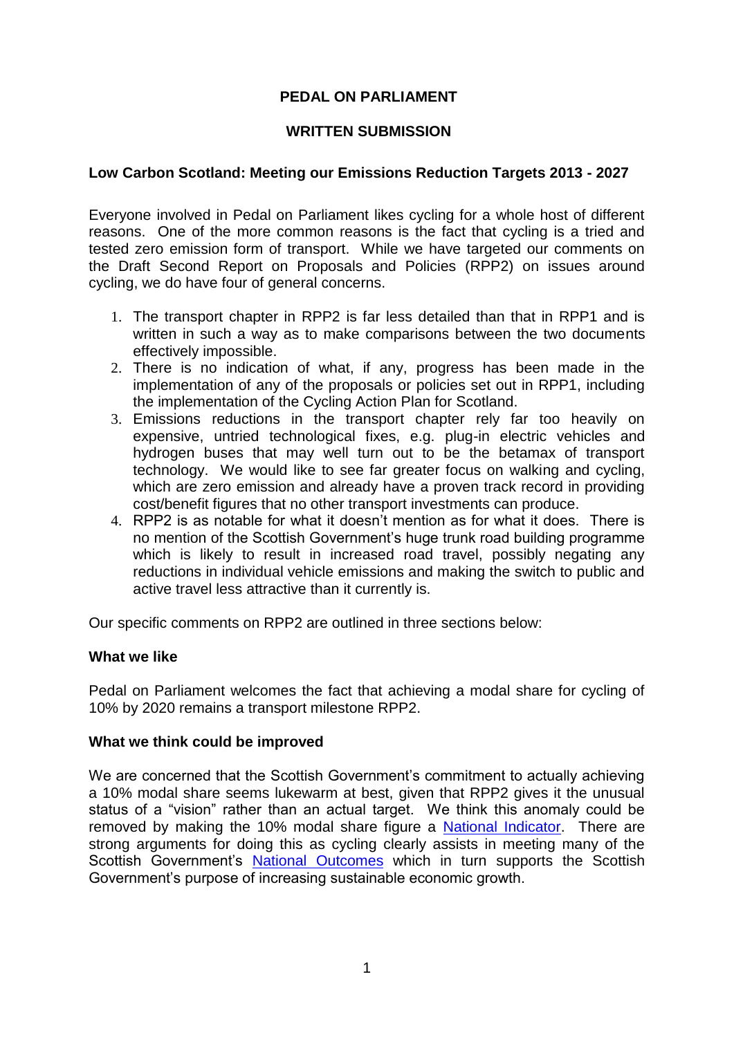# **PEDAL ON PARLIAMENT**

# **WRITTEN SUBMISSION**

# **Low Carbon Scotland: Meeting our Emissions Reduction Targets 2013 - 2027**

Everyone involved in Pedal on Parliament likes cycling for a whole host of different reasons. One of the more common reasons is the fact that cycling is a tried and tested zero emission form of transport. While we have targeted our comments on the Draft Second Report on Proposals and Policies (RPP2) on issues around cycling, we do have four of general concerns.

- 1. The transport chapter in RPP2 is far less detailed than that in RPP1 and is written in such a way as to make comparisons between the two documents effectively impossible.
- 2. There is no indication of what, if any, progress has been made in the implementation of any of the proposals or policies set out in RPP1, including the implementation of the Cycling Action Plan for Scotland.
- 3. Emissions reductions in the transport chapter rely far too heavily on expensive, untried technological fixes, e.g. plug-in electric vehicles and hydrogen buses that may well turn out to be the betamax of transport technology. We would like to see far greater focus on walking and cycling, which are zero emission and already have a proven track record in providing cost/benefit figures that no other transport investments can produce.
- 4. RPP2 is as notable for what it doesn't mention as for what it does. There is no mention of the Scottish Government's huge trunk road building programme which is likely to result in increased road travel, possibly negating any reductions in individual vehicle emissions and making the switch to public and active travel less attractive than it currently is.

Our specific comments on RPP2 are outlined in three sections below:

### **What we like**

Pedal on Parliament welcomes the fact that achieving a modal share for cycling of 10% by 2020 remains a transport milestone RPP2.

### **What we think could be improved**

We are concerned that the Scottish Government's commitment to actually achieving a 10% modal share seems lukewarm at best, given that RPP2 gives it the unusual status of a "vision" rather than an actual target. We think this anomaly could be removed by making the 10% modal share figure a [National Indicator.](http://www.scotland.gov.uk/About/Performance/scotPerforms/indicator) There are strong arguments for doing this as cycling clearly assists in meeting many of the Scottish Government's [National Outcomes](http://www.scotland.gov.uk/About/Performance/scotPerforms/outcome) which in turn supports the Scottish Government's purpose of increasing sustainable economic growth.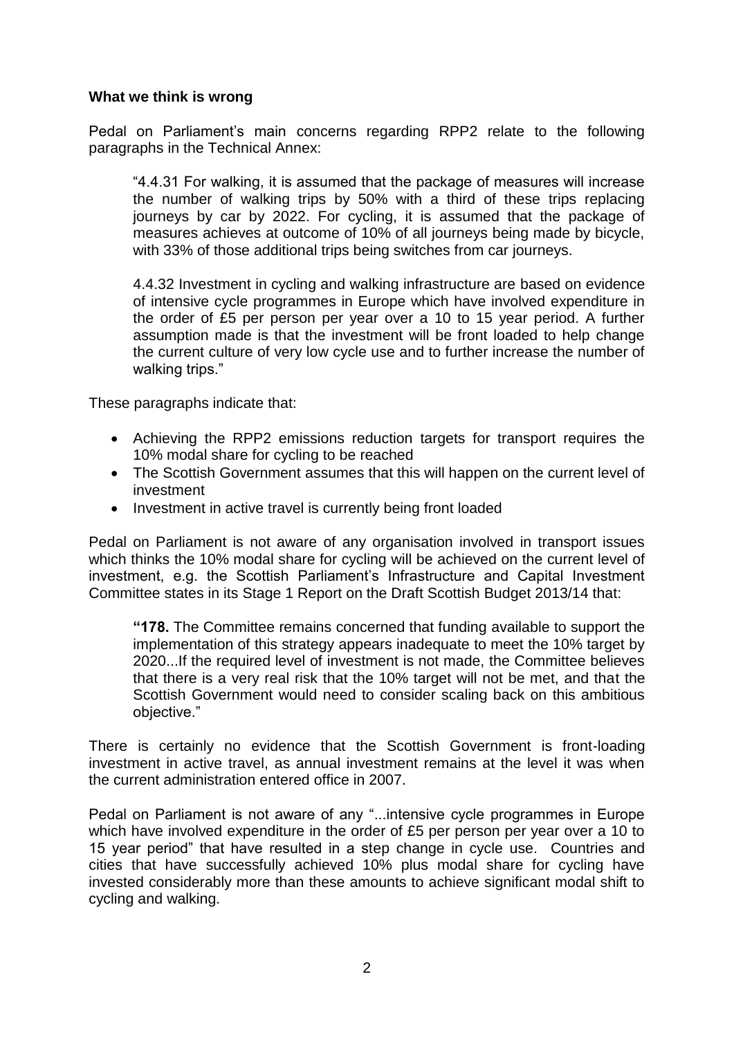### **What we think is wrong**

Pedal on Parliament's main concerns regarding RPP2 relate to the following paragraphs in the Technical Annex:

"4.4.31 For walking, it is assumed that the package of measures will increase the number of walking trips by 50% with a third of these trips replacing journeys by car by 2022. For cycling, it is assumed that the package of measures achieves at outcome of 10% of all journeys being made by bicycle, with 33% of those additional trips being switches from car journeys.

4.4.32 Investment in cycling and walking infrastructure are based on evidence of intensive cycle programmes in Europe which have involved expenditure in the order of £5 per person per year over a 10 to 15 year period. A further assumption made is that the investment will be front loaded to help change the current culture of very low cycle use and to further increase the number of walking trips."

These paragraphs indicate that:

- Achieving the RPP2 emissions reduction targets for transport requires the 10% modal share for cycling to be reached
- The Scottish Government assumes that this will happen on the current level of investment
- Investment in active travel is currently being front loaded

Pedal on Parliament is not aware of any organisation involved in transport issues which thinks the 10% modal share for cycling will be achieved on the current level of investment, e.g. the Scottish Parliament's Infrastructure and Capital Investment Committee states in its Stage 1 Report on the Draft Scottish Budget 2013/14 that:

**"178.** The Committee remains concerned that funding available to support the implementation of this strategy appears inadequate to meet the 10% target by 2020...If the required level of investment is not made, the Committee believes that there is a very real risk that the 10% target will not be met, and that the Scottish Government would need to consider scaling back on this ambitious objective."

There is certainly no evidence that the Scottish Government is front-loading investment in active travel, as annual investment remains at the level it was when the current administration entered office in 2007.

Pedal on Parliament is not aware of any "...intensive cycle programmes in Europe which have involved expenditure in the order of £5 per person per year over a 10 to 15 year period" that have resulted in a step change in cycle use. Countries and cities that have successfully achieved 10% plus modal share for cycling have invested considerably more than these amounts to achieve significant modal shift to cycling and walking.